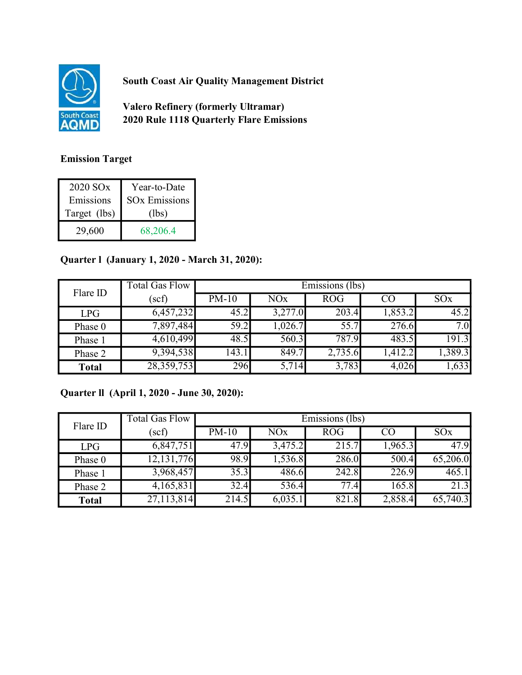

South Coast Air Quality Management District

Valero Refinery (formerly Ultramar) 2020 Rule 1118 Quarterly Flare Emissions

## Emission Target

| 2020 SO <sub>x</sub> | Year-to-Date         |
|----------------------|----------------------|
| Emissions            | <b>SOx Emissions</b> |
| Target (lbs)         | (lbs)                |
| 29,600               | 68,206.4             |

## Quarter l (January 1, 2020 - March 31, 2020):

| Flare ID     | <b>Total Gas Flow</b> | Emissions (lbs) |                       |            |         |                 |
|--------------|-----------------------|-----------------|-----------------------|------------|---------|-----------------|
|              | (scf)                 | $PM-10$         | <b>NO<sub>x</sub></b> | <b>ROG</b> | CO      | SO <sub>x</sub> |
| LPG          | 6,457,232             | 45.2            | 3,277.0               | 203.4      | 1,853.2 | 45.2            |
| Phase 0      | 7,897,484             | 59.2            | 1,026.7               | 55.7       | 276.6   | 7.0             |
| Phase 1      | 4,610,499             | 48.5            | 560.3                 | 787.9      | 483.5   | 191.3           |
| Phase 2      | 9,394,538             | 143.1           | 849.7                 | 2,735.6    | 1,412.2 | 1,389.3         |
| <b>Total</b> | 28,359,753            | 296             | 5,714                 | 3,783      | 4,026   | 1,633           |

## Quarter ll (April 1, 2020 - June 30, 2020):

| Flare ID     | <b>Total Gas Flow</b> | Emissions (lbs) |                       |            |         |          |
|--------------|-----------------------|-----------------|-----------------------|------------|---------|----------|
|              | (scf)                 | $PM-10$         | <b>NO<sub>x</sub></b> | <b>ROG</b> | CO      | SOx      |
| <b>LPG</b>   | 6,847,751             | 47.9            | 3,475.2               | 215.7      | 1,965.3 | 47.9     |
| Phase 0      | 12, 131, 776          | 98.9            | 1,536.8               | 286.0      | 500.4   | 65,206.0 |
| Phase 1      | 3,968,457             | 35.3            | 486.6                 | 242.8      | 226.9   | 465.1    |
| Phase 2      | 4,165,831             | 32.4            | 536.4                 | 77.4       | 165.8   | 21.3     |
| <b>Total</b> | 27,113,814            | 214.5           | 6,035.1               | 821.8      | 2,858.4 | 65,740.3 |